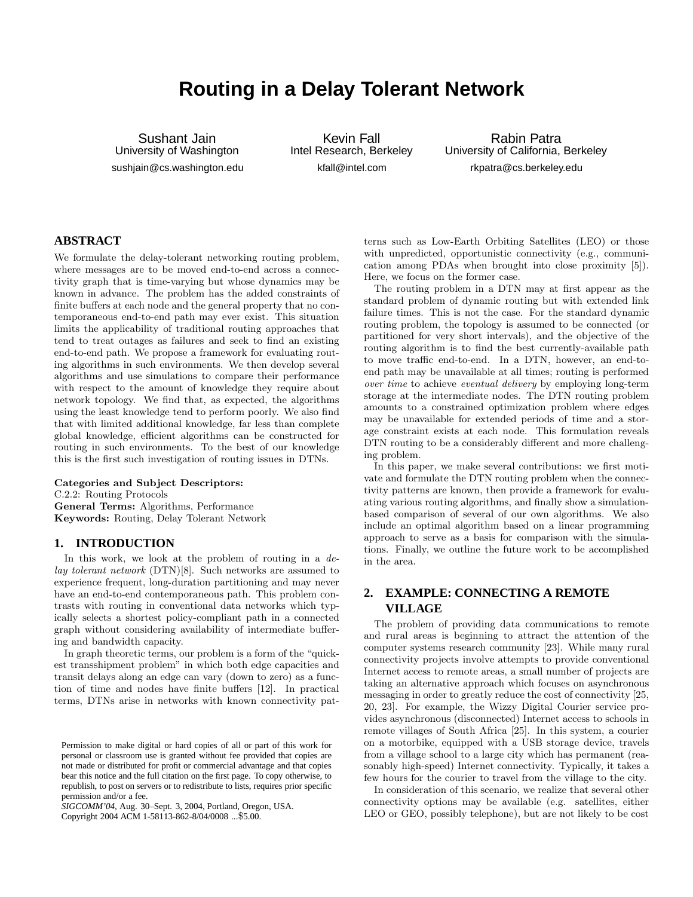# **Routing in a Delay Tolerant Network**

Sushant Jain University of Washington sushjain@cs.washington.edu

Kevin Fall Intel Research, Berkeley kfall@intel.com

Rabin Patra University of California, Berkeley rkpatra@cs.berkeley.edu

# **ABSTRACT**

We formulate the delay-tolerant networking routing problem, where messages are to be moved end-to-end across a connectivity graph that is time-varying but whose dynamics may be known in advance. The problem has the added constraints of finite buffers at each node and the general property that no contemporaneous end-to-end path may ever exist. This situation limits the applicability of traditional routing approaches that tend to treat outages as failures and seek to find an existing end-to-end path. We propose a framework for evaluating routing algorithms in such environments. We then develop several algorithms and use simulations to compare their performance with respect to the amount of knowledge they require about network topology. We find that, as expected, the algorithms using the least knowledge tend to perform poorly. We also find that with limited additional knowledge, far less than complete global knowledge, efficient algorithms can be constructed for routing in such environments. To the best of our knowledge this is the first such investigation of routing issues in DTNs.

#### Categories and Subject Descriptors:

C.2.2: Routing Protocols General Terms: Algorithms, Performance Keywords: Routing, Delay Tolerant Network

# **1. INTRODUCTION**

In this work, we look at the problem of routing in a delay tolerant network (DTN)[8]. Such networks are assumed to experience frequent, long-duration partitioning and may never have an end-to-end contemporaneous path. This problem contrasts with routing in conventional data networks which typically selects a shortest policy-compliant path in a connected graph without considering availability of intermediate buffering and bandwidth capacity.

In graph theoretic terms, our problem is a form of the "quickest transshipment problem" in which both edge capacities and transit delays along an edge can vary (down to zero) as a function of time and nodes have finite buffers [12]. In practical terms, DTNs arise in networks with known connectivity pat-

*SIGCOMM'04,* Aug. 30–Sept. 3, 2004, Portland, Oregon, USA. Copyright 2004 ACM 1-58113-862-8/04/0008 ...\$5.00.

terns such as Low-Earth Orbiting Satellites (LEO) or those with unpredicted, opportunistic connectivity (e.g., communication among PDAs when brought into close proximity [5]). Here, we focus on the former case.

The routing problem in a DTN may at first appear as the standard problem of dynamic routing but with extended link failure times. This is not the case. For the standard dynamic routing problem, the topology is assumed to be connected (or partitioned for very short intervals), and the objective of the routing algorithm is to find the best currently-available path to move traffic end-to-end. In a DTN, however, an end-toend path may be unavailable at all times; routing is performed over time to achieve eventual delivery by employing long-term storage at the intermediate nodes. The DTN routing problem amounts to a constrained optimization problem where edges may be unavailable for extended periods of time and a storage constraint exists at each node. This formulation reveals DTN routing to be a considerably different and more challenging problem.

In this paper, we make several contributions: we first motivate and formulate the DTN routing problem when the connectivity patterns are known, then provide a framework for evaluating various routing algorithms, and finally show a simulationbased comparison of several of our own algorithms. We also include an optimal algorithm based on a linear programming approach to serve as a basis for comparison with the simulations. Finally, we outline the future work to be accomplished in the area.

# **2. EXAMPLE: CONNECTING A REMOTE VILLAGE**

The problem of providing data communications to remote and rural areas is beginning to attract the attention of the computer systems research community [23]. While many rural connectivity projects involve attempts to provide conventional Internet access to remote areas, a small number of projects are taking an alternative approach which focuses on asynchronous messaging in order to greatly reduce the cost of connectivity [25, 20, 23]. For example, the Wizzy Digital Courier service provides asynchronous (disconnected) Internet access to schools in remote villages of South Africa [25]. In this system, a courier on a motorbike, equipped with a USB storage device, travels from a village school to a large city which has permanent (reasonably high-speed) Internet connectivity. Typically, it takes a few hours for the courier to travel from the village to the city.

In consideration of this scenario, we realize that several other connectivity options may be available (e.g. satellites, either LEO or GEO, possibly telephone), but are not likely to be cost

Permission to make digital or hard copies of all or part of this work for personal or classroom use is granted without fee provided that copies are not made or distributed for profit or commercial advantage and that copies bear this notice and the full citation on the first page. To copy otherwise, to republish, to post on servers or to redistribute to lists, requires prior specific permission and/or a fee.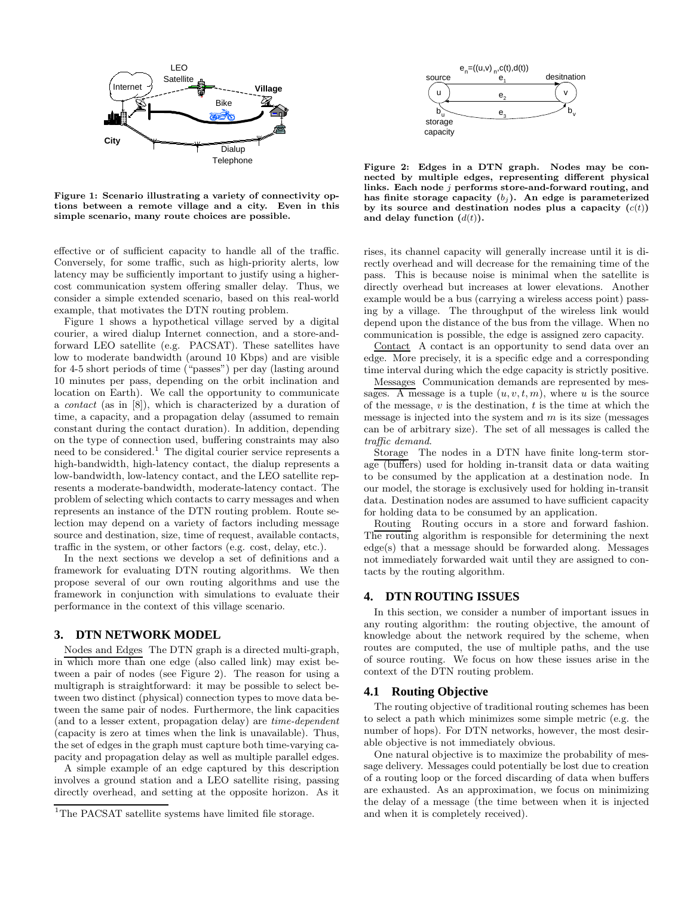

Figure 1: Scenario illustrating a variety of connectivity options between a remote village and a city. Even in this simple scenario, many route choices are possible.

effective or of sufficient capacity to handle all of the traffic. Conversely, for some traffic, such as high-priority alerts, low latency may be sufficiently important to justify using a highercost communication system offering smaller delay. Thus, we consider a simple extended scenario, based on this real-world example, that motivates the DTN routing problem.

Figure 1 shows a hypothetical village served by a digital courier, a wired dialup Internet connection, and a store-andforward LEO satellite (e.g. PACSAT). These satellites have low to moderate bandwidth (around 10 Kbps) and are visible for 4-5 short periods of time ("passes") per day (lasting around 10 minutes per pass, depending on the orbit inclination and location on Earth). We call the opportunity to communicate a contact (as in [8]), which is characterized by a duration of time, a capacity, and a propagation delay (assumed to remain constant during the contact duration). In addition, depending on the type of connection used, buffering constraints may also need to be considered.<sup>1</sup> The digital courier service represents a high-bandwidth, high-latency contact, the dialup represents a low-bandwidth, low-latency contact, and the LEO satellite represents a moderate-bandwidth, moderate-latency contact. The problem of selecting which contacts to carry messages and when represents an instance of the DTN routing problem. Route selection may depend on a variety of factors including message source and destination, size, time of request, available contacts, traffic in the system, or other factors (e.g. cost, delay, etc.).

In the next sections we develop a set of definitions and a framework for evaluating DTN routing algorithms. We then propose several of our own routing algorithms and use the framework in conjunction with simulations to evaluate their performance in the context of this village scenario.

# **3. DTN NETWORK MODEL**

Nodes and Edges The DTN graph is a directed multi-graph, in which more than one edge (also called link) may exist between a pair of nodes (see Figure 2). The reason for using a multigraph is straightforward: it may be possible to select between two distinct (physical) connection types to move data between the same pair of nodes. Furthermore, the link capacities (and to a lesser extent, propagation delay) are time-dependent (capacity is zero at times when the link is unavailable). Thus, the set of edges in the graph must capture both time-varying capacity and propagation delay as well as multiple parallel edges.

A simple example of an edge captured by this description involves a ground station and a LEO satellite rising, passing directly overhead, and setting at the opposite horizon. As it



Figure 2: Edges in a DTN graph. Nodes may be connected by multiple edges, representing different physical links. Each node  $j$  performs store-and-forward routing, and has finite storage capacity  $(b_j)$ . An edge is parameterized by its source and destination nodes plus a capacity  $(c(t))$ and delay function  $(d(t))$ .

rises, its channel capacity will generally increase until it is directly overhead and will decrease for the remaining time of the pass. This is because noise is minimal when the satellite is directly overhead but increases at lower elevations. Another example would be a bus (carrying a wireless access point) passing by a village. The throughput of the wireless link would depend upon the distance of the bus from the village. When no communication is possible, the edge is assigned zero capacity.

Contact A contact is an opportunity to send data over an edge. More precisely, it is a specific edge and a corresponding time interval during which the edge capacity is strictly positive.

Messages Communication demands are represented by messages. A message is a tuple  $(u, v, t, m)$ , where u is the source of the message,  $v$  is the destination,  $t$  is the time at which the message is injected into the system and  $m$  is its size (messages can be of arbitrary size). The set of all messages is called the traffic demand.

Storage The nodes in a DTN have finite long-term storage (buffers) used for holding in-transit data or data waiting to be consumed by the application at a destination node. In our model, the storage is exclusively used for holding in-transit data. Destination nodes are assumed to have sufficient capacity for holding data to be consumed by an application.

Routing Routing occurs in a store and forward fashion. The routing algorithm is responsible for determining the next edge(s) that a message should be forwarded along. Messages not immediately forwarded wait until they are assigned to contacts by the routing algorithm.

# **4. DTN ROUTING ISSUES**

In this section, we consider a number of important issues in any routing algorithm: the routing objective, the amount of knowledge about the network required by the scheme, when routes are computed, the use of multiple paths, and the use of source routing. We focus on how these issues arise in the context of the DTN routing problem.

## **4.1 Routing Objective**

The routing objective of traditional routing schemes has been to select a path which minimizes some simple metric (e.g. the number of hops). For DTN networks, however, the most desirable objective is not immediately obvious.

One natural objective is to maximize the probability of message delivery. Messages could potentially be lost due to creation of a routing loop or the forced discarding of data when buffers are exhausted. As an approximation, we focus on minimizing the delay of a message (the time between when it is injected and when it is completely received).

<sup>&</sup>lt;sup>1</sup>The PACSAT satellite systems have limited file storage.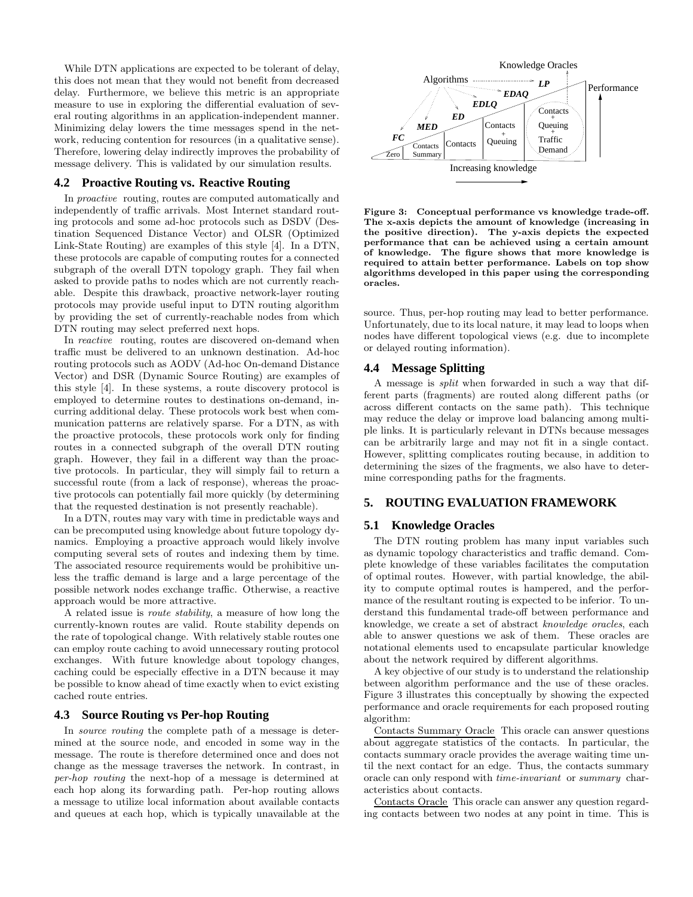While DTN applications are expected to be tolerant of delay, this does not mean that they would not benefit from decreased delay. Furthermore, we believe this metric is an appropriate measure to use in exploring the differential evaluation of several routing algorithms in an application-independent manner. Minimizing delay lowers the time messages spend in the network, reducing contention for resources (in a qualitative sense). Therefore, lowering delay indirectly improves the probability of message delivery. This is validated by our simulation results.

#### **4.2 Proactive Routing vs. Reactive Routing**

In *proactive* routing, routes are computed automatically and independently of traffic arrivals. Most Internet standard routing protocols and some ad-hoc protocols such as DSDV (Destination Sequenced Distance Vector) and OLSR (Optimized Link-State Routing) are examples of this style [4]. In a DTN, these protocols are capable of computing routes for a connected subgraph of the overall DTN topology graph. They fail when asked to provide paths to nodes which are not currently reachable. Despite this drawback, proactive network-layer routing protocols may provide useful input to DTN routing algorithm by providing the set of currently-reachable nodes from which DTN routing may select preferred next hops.

In *reactive* routing, routes are discovered on-demand when traffic must be delivered to an unknown destination. Ad-hoc routing protocols such as AODV (Ad-hoc On-demand Distance Vector) and DSR (Dynamic Source Routing) are examples of this style [4]. In these systems, a route discovery protocol is employed to determine routes to destinations on-demand, incurring additional delay. These protocols work best when communication patterns are relatively sparse. For a DTN, as with the proactive protocols, these protocols work only for finding routes in a connected subgraph of the overall DTN routing graph. However, they fail in a different way than the proactive protocols. In particular, they will simply fail to return a successful route (from a lack of response), whereas the proactive protocols can potentially fail more quickly (by determining that the requested destination is not presently reachable).

In a DTN, routes may vary with time in predictable ways and can be precomputed using knowledge about future topology dynamics. Employing a proactive approach would likely involve computing several sets of routes and indexing them by time. The associated resource requirements would be prohibitive unless the traffic demand is large and a large percentage of the possible network nodes exchange traffic. Otherwise, a reactive approach would be more attractive.

A related issue is route stability, a measure of how long the currently-known routes are valid. Route stability depends on the rate of topological change. With relatively stable routes one can employ route caching to avoid unnecessary routing protocol exchanges. With future knowledge about topology changes, caching could be especially effective in a DTN because it may be possible to know ahead of time exactly when to evict existing cached route entries.

#### **4.3 Source Routing vs Per-hop Routing**

In source routing the complete path of a message is determined at the source node, and encoded in some way in the message. The route is therefore determined once and does not change as the message traverses the network. In contrast, in per-hop routing the next-hop of a message is determined at each hop along its forwarding path. Per-hop routing allows a message to utilize local information about available contacts and queues at each hop, which is typically unavailable at the



Figure 3: Conceptual performance vs knowledge trade-off. The x-axis depicts the amount of knowledge (increasing in the positive direction). The y-axis depicts the expected performance that can be achieved using a certain amount of knowledge. The figure shows that more knowledge is required to attain better performance. Labels on top show algorithms developed in this paper using the corresponding oracles.

source. Thus, per-hop routing may lead to better performance. Unfortunately, due to its local nature, it may lead to loops when nodes have different topological views (e.g. due to incomplete or delayed routing information).

# **4.4 Message Splitting**

A message is split when forwarded in such a way that different parts (fragments) are routed along different paths (or across different contacts on the same path). This technique may reduce the delay or improve load balancing among multiple links. It is particularly relevant in DTNs because messages can be arbitrarily large and may not fit in a single contact. However, splitting complicates routing because, in addition to determining the sizes of the fragments, we also have to determine corresponding paths for the fragments.

# **5. ROUTING EVALUATION FRAMEWORK**

## **5.1 Knowledge Oracles**

The DTN routing problem has many input variables such as dynamic topology characteristics and traffic demand. Complete knowledge of these variables facilitates the computation of optimal routes. However, with partial knowledge, the ability to compute optimal routes is hampered, and the performance of the resultant routing is expected to be inferior. To understand this fundamental trade-off between performance and knowledge, we create a set of abstract knowledge oracles, each able to answer questions we ask of them. These oracles are notational elements used to encapsulate particular knowledge about the network required by different algorithms.

A key objective of our study is to understand the relationship between algorithm performance and the use of these oracles. Figure 3 illustrates this conceptually by showing the expected performance and oracle requirements for each proposed routing algorithm:

Contacts Summary Oracle This oracle can answer questions about aggregate statistics of the contacts. In particular, the contacts summary oracle provides the average waiting time until the next contact for an edge. Thus, the contacts summary oracle can only respond with time-invariant or summary characteristics about contacts.

Contacts Oracle This oracle can answer any question regarding contacts between two nodes at any point in time. This is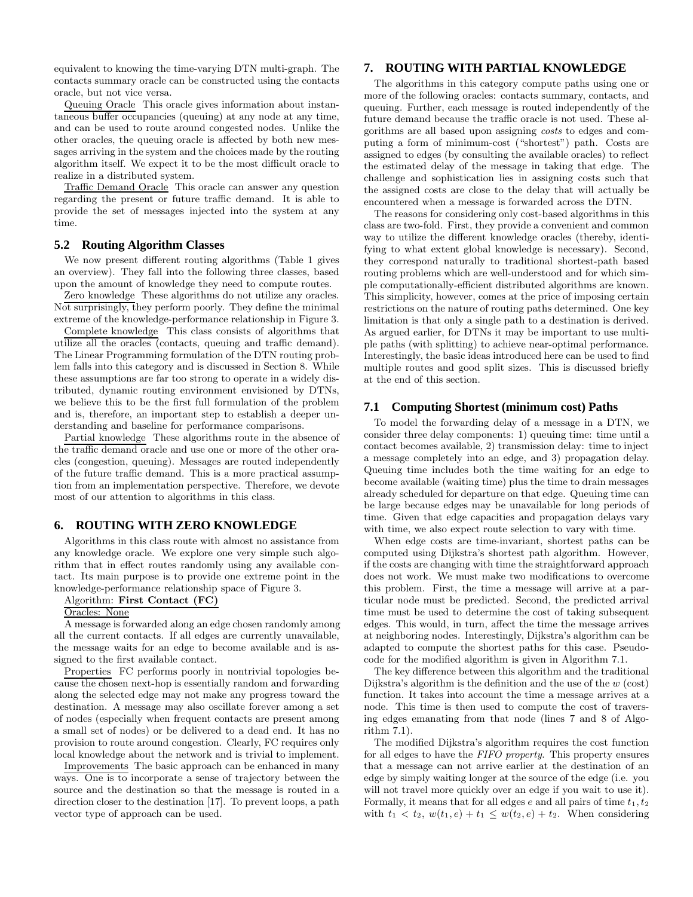equivalent to knowing the time-varying DTN multi-graph. The contacts summary oracle can be constructed using the contacts oracle, but not vice versa.

Queuing Oracle This oracle gives information about instantaneous buffer occupancies (queuing) at any node at any time, and can be used to route around congested nodes. Unlike the other oracles, the queuing oracle is affected by both new messages arriving in the system and the choices made by the routing algorithm itself. We expect it to be the most difficult oracle to realize in a distributed system.

Traffic Demand Oracle This oracle can answer any question regarding the present or future traffic demand. It is able to provide the set of messages injected into the system at any time.

#### **5.2 Routing Algorithm Classes**

We now present different routing algorithms (Table 1 gives an overview). They fall into the following three classes, based upon the amount of knowledge they need to compute routes.

Zero knowledge These algorithms do not utilize any oracles. Not surprisingly, they perform poorly. They define the minimal extreme of the knowledge-performance relationship in Figure 3.

Complete knowledge This class consists of algorithms that utilize all the oracles (contacts, queuing and traffic demand). The Linear Programming formulation of the DTN routing problem falls into this category and is discussed in Section 8. While these assumptions are far too strong to operate in a widely distributed, dynamic routing environment envisioned by DTNs, we believe this to be the first full formulation of the problem and is, therefore, an important step to establish a deeper understanding and baseline for performance comparisons.

Partial knowledge These algorithms route in the absence of the traffic demand oracle and use one or more of the other oracles (congestion, queuing). Messages are routed independently of the future traffic demand. This is a more practical assumption from an implementation perspective. Therefore, we devote most of our attention to algorithms in this class.

#### **6. ROUTING WITH ZERO KNOWLEDGE**

Algorithms in this class route with almost no assistance from any knowledge oracle. We explore one very simple such algorithm that in effect routes randomly using any available contact. Its main purpose is to provide one extreme point in the knowledge-performance relationship space of Figure 3.

Algorithm: First Contact (FC)

Oracles: None

A message is forwarded along an edge chosen randomly among all the current contacts. If all edges are currently unavailable, the message waits for an edge to become available and is assigned to the first available contact.

Properties FC performs poorly in nontrivial topologies because the chosen next-hop is essentially random and forwarding along the selected edge may not make any progress toward the destination. A message may also oscillate forever among a set of nodes (especially when frequent contacts are present among a small set of nodes) or be delivered to a dead end. It has no provision to route around congestion. Clearly, FC requires only local knowledge about the network and is trivial to implement.

Improvements The basic approach can be enhanced in many ways. One is to incorporate a sense of trajectory between the source and the destination so that the message is routed in a direction closer to the destination [17]. To prevent loops, a path vector type of approach can be used.

# **7. ROUTING WITH PARTIAL KNOWLEDGE**

The algorithms in this category compute paths using one or more of the following oracles: contacts summary, contacts, and queuing. Further, each message is routed independently of the future demand because the traffic oracle is not used. These algorithms are all based upon assigning costs to edges and computing a form of minimum-cost ("shortest") path. Costs are assigned to edges (by consulting the available oracles) to reflect the estimated delay of the message in taking that edge. The challenge and sophistication lies in assigning costs such that the assigned costs are close to the delay that will actually be encountered when a message is forwarded across the DTN.

The reasons for considering only cost-based algorithms in this class are two-fold. First, they provide a convenient and common way to utilize the different knowledge oracles (thereby, identifying to what extent global knowledge is necessary). Second, they correspond naturally to traditional shortest-path based routing problems which are well-understood and for which simple computationally-efficient distributed algorithms are known. This simplicity, however, comes at the price of imposing certain restrictions on the nature of routing paths determined. One key limitation is that only a single path to a destination is derived. As argued earlier, for DTNs it may be important to use multiple paths (with splitting) to achieve near-optimal performance. Interestingly, the basic ideas introduced here can be used to find multiple routes and good split sizes. This is discussed briefly at the end of this section.

#### **7.1 Computing Shortest (minimum cost) Paths**

To model the forwarding delay of a message in a DTN, we consider three delay components: 1) queuing time: time until a contact becomes available, 2) transmission delay: time to inject a message completely into an edge, and 3) propagation delay. Queuing time includes both the time waiting for an edge to become available (waiting time) plus the time to drain messages already scheduled for departure on that edge. Queuing time can be large because edges may be unavailable for long periods of time. Given that edge capacities and propagation delays vary with time, we also expect route selection to vary with time.

When edge costs are time-invariant, shortest paths can be computed using Dijkstra's shortest path algorithm. However, if the costs are changing with time the straightforward approach does not work. We must make two modifications to overcome this problem. First, the time a message will arrive at a particular node must be predicted. Second, the predicted arrival time must be used to determine the cost of taking subsequent edges. This would, in turn, affect the time the message arrives at neighboring nodes. Interestingly, Dijkstra's algorithm can be adapted to compute the shortest paths for this case. Pseudocode for the modified algorithm is given in Algorithm 7.1.

The key difference between this algorithm and the traditional Dijkstra's algorithm is the definition and the use of the  $w$  (cost) function. It takes into account the time a message arrives at a node. This time is then used to compute the cost of traversing edges emanating from that node (lines 7 and 8 of Algorithm 7.1).

The modified Dijkstra's algorithm requires the cost function for all edges to have the FIFO property. This property ensures that a message can not arrive earlier at the destination of an edge by simply waiting longer at the source of the edge (i.e. you will not travel more quickly over an edge if you wait to use it). Formally, it means that for all edges  $e$  and all pairs of time  $t_1, t_2$ with  $t_1 < t_2, w(t_1, e) + t_1 \leq w(t_2, e) + t_2$ . When considering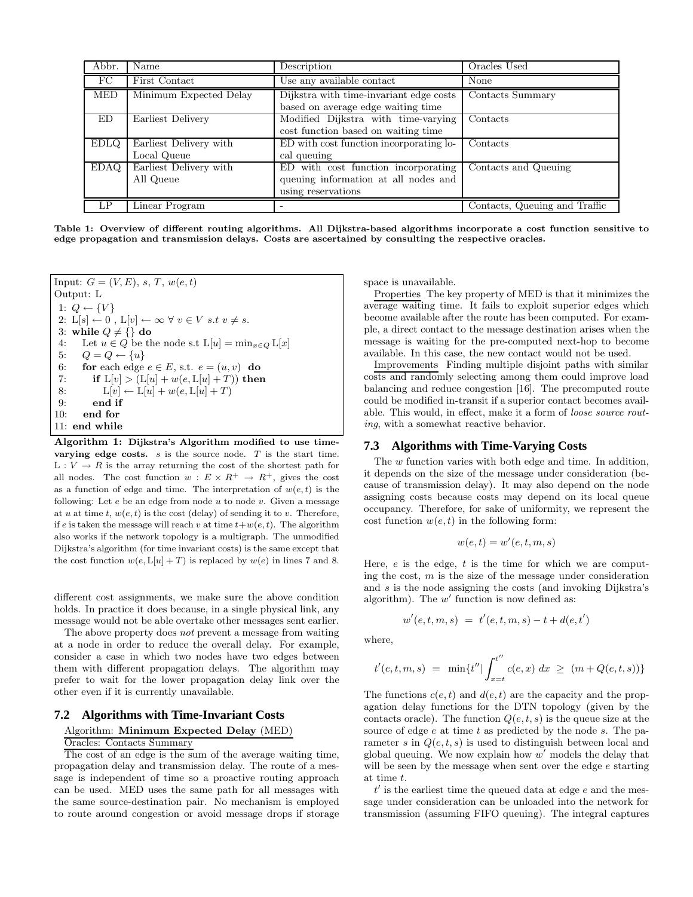| Abbr.      | Name                                  | Description                                                                                       | Oracles Used                  |
|------------|---------------------------------------|---------------------------------------------------------------------------------------------------|-------------------------------|
| FC         | First Contact                         | Use any available contact                                                                         | None                          |
| <b>MED</b> | Minimum Expected Delay                | Dijkstra with time-invariant edge costs<br>based on average edge waiting time                     | Contacts Summary              |
| ED         | Earliest Delivery                     | Modified Dijkstra with time-varying<br>cost function based on waiting time                        | Contacts                      |
| EDLQ       | Earliest Delivery with<br>Local Queue | ED with cost function incorporating lo-<br>cal queuing                                            | Contacts                      |
| EDAQ       | Earliest Delivery with<br>All Queue   | ED with cost function incorporating<br>queuing information at all nodes and<br>using reservations | Contacts and Queuing          |
| LP         | Linear Program                        | -                                                                                                 | Contacts, Queuing and Traffic |

Table 1: Overview of different routing algorithms. All Dijkstra-based algorithms incorporate a cost function sensitive to edge propagation and transmission delays. Costs are ascertained by consulting the respective oracles.

| Input: $G = (V, E), s, T, w(e, t)$                                                        |  |  |  |  |  |  |
|-------------------------------------------------------------------------------------------|--|--|--|--|--|--|
| Output: L                                                                                 |  |  |  |  |  |  |
| 1: $Q \leftarrow \{V\}$                                                                   |  |  |  |  |  |  |
| 2: $L[s] \leftarrow 0$ , $L[v] \leftarrow \infty \forall v \in V \text{ s.t } v \neq s$ . |  |  |  |  |  |  |
| 3: while $Q \neq \{\}$ do                                                                 |  |  |  |  |  |  |
| Let $u \in Q$ be the node s.t $L[u] = \min_{x \in Q} L[x]$<br>4:                          |  |  |  |  |  |  |
| 5: $Q = Q \leftarrow \{u\}$                                                               |  |  |  |  |  |  |
| 6:<br>for each edge $e \in E$ , s.t. $e = (u, v)$ do                                      |  |  |  |  |  |  |
| if $L[v] > (L[u] + w(e, L[u] + T))$ then<br>7:                                            |  |  |  |  |  |  |
| $L[v] \leftarrow L[u] + w(e, L[u] + T)$<br>8:                                             |  |  |  |  |  |  |
| 9:<br>end if                                                                              |  |  |  |  |  |  |
| end for<br>10:                                                                            |  |  |  |  |  |  |
| $11:$ end while                                                                           |  |  |  |  |  |  |

Algorithm 1: Dijkstra's Algorithm modified to use timevarying edge costs.  $s$  is the source node.  $T$  is the start time.  $L: V \to R$  is the array returning the cost of the shortest path for all nodes. The cost function  $w : E \times R^+ \to R^+$ , gives the cost as a function of edge and time. The interpretation of  $w(e, t)$  is the following: Let  $e$  be an edge from node  $u$  to node  $v$ . Given a message at u at time t,  $w(e,t)$  is the cost (delay) of sending it to v. Therefore, if e is taken the message will reach v at time  $t+w(e,t)$ . The algorithm also works if the network topology is a multigraph. The unmodified Dijkstra's algorithm (for time invariant costs) is the same except that the cost function  $w(e, L[u] + T)$  is replaced by  $w(e)$  in lines 7 and 8.

different cost assignments, we make sure the above condition holds. In practice it does because, in a single physical link, any message would not be able overtake other messages sent earlier.

The above property does not prevent a message from waiting at a node in order to reduce the overall delay. For example, consider a case in which two nodes have two edges between them with different propagation delays. The algorithm may prefer to wait for the lower propagation delay link over the other even if it is currently unavailable.

# **7.2 Algorithms with Time-Invariant Costs**

# Algorithm: Minimum Expected Delay (MED)

# Oracles: Contacts Summary

The cost of an edge is the sum of the average waiting time, propagation delay and transmission delay. The route of a message is independent of time so a proactive routing approach can be used. MED uses the same path for all messages with the same source-destination pair. No mechanism is employed to route around congestion or avoid message drops if storage space is unavailable.

Properties The key property of MED is that it minimizes the average waiting time. It fails to exploit superior edges which become available after the route has been computed. For example, a direct contact to the message destination arises when the message is waiting for the pre-computed next-hop to become available. In this case, the new contact would not be used.

Improvements Finding multiple disjoint paths with similar costs and randomly selecting among them could improve load balancing and reduce congestion [16]. The precomputed route could be modified in-transit if a superior contact becomes available. This would, in effect, make it a form of loose source routing, with a somewhat reactive behavior.

#### **7.3 Algorithms with Time-Varying Costs**

The w function varies with both edge and time. In addition, it depends on the size of the message under consideration (because of transmission delay). It may also depend on the node assigning costs because costs may depend on its local queue occupancy. Therefore, for sake of uniformity, we represent the cost function  $w(e,t)$  in the following form:

$$
w(e,t) = w'(e,t,m,s)
$$

Here,  $e$  is the edge,  $t$  is the time for which we are computing the cost,  $m$  is the size of the message under consideration and s is the node assigning the costs (and invoking Dijkstra's algorithm). The  $w'$  function is now defined as:

$$
w'(e,t,m,s)\ =\ t'(e,t,m,s)-t+d(e,t')
$$

where,

$$
t'(e,t,m,s) ~=~ \min\{t''|\int_{x=t}^{t''}c(e,x)~dx~\geq~(m+Q(e,t,s))\}
$$

The functions  $c(e,t)$  and  $d(e,t)$  are the capacity and the propagation delay functions for the DTN topology (given by the contacts oracle). The function  $Q(e,t,s)$  is the queue size at the source of edge  $e$  at time  $t$  as predicted by the node  $s$ . The parameter s in  $Q(e,t,s)$  is used to distinguish between local and global queuing. We now explain how  $w'$  models the delay that will be seen by the message when sent over the edge  $e$  starting at time t.

 $t'$  is the earliest time the queued data at edge  $e$  and the message under consideration can be unloaded into the network for transmission (assuming FIFO queuing). The integral captures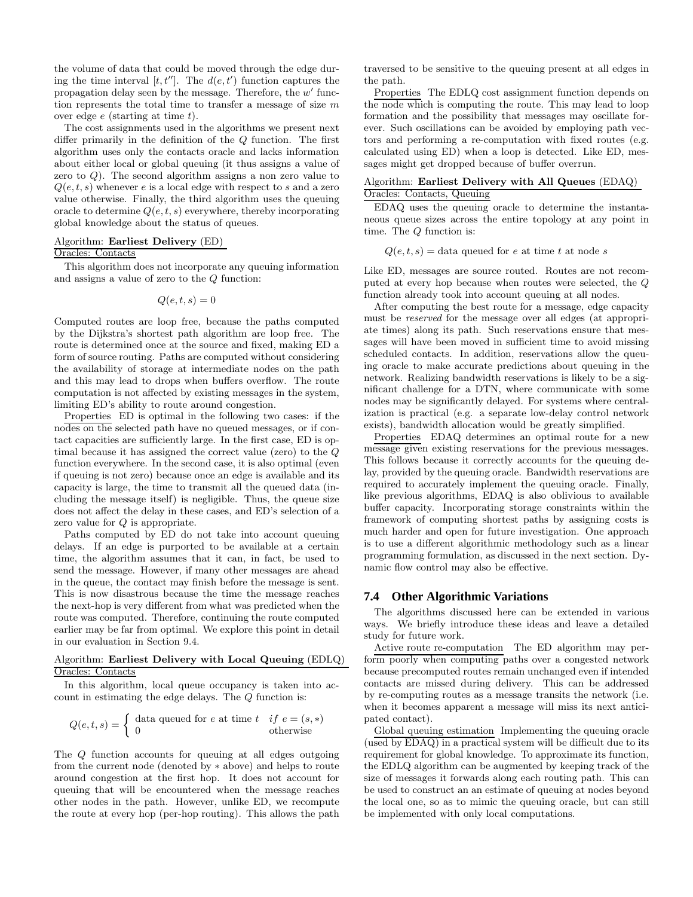the volume of data that could be moved through the edge during the time interval  $[t, t'']$ . The  $d(e, t')$  function captures the propagation delay seen by the message. Therefore, the  $w'$  function represents the total time to transfer a message of size  $m$ over edge  $e$  (starting at time  $t$ ).

The cost assignments used in the algorithms we present next differ primarily in the definition of the Q function. The first algorithm uses only the contacts oracle and lacks information about either local or global queuing (it thus assigns a value of zero to Q). The second algorithm assigns a non zero value to  $Q(e,t,s)$  whenever e is a local edge with respect to s and a zero value otherwise. Finally, the third algorithm uses the queuing oracle to determine  $Q(e,t,s)$  everywhere, thereby incorporating global knowledge about the status of queues.

#### Algorithm: Earliest Delivery (ED)

#### Oracles: Contacts

This algorithm does not incorporate any queuing information and assigns a value of zero to the Q function:

$$
Q(e,t,s) = 0
$$

Computed routes are loop free, because the paths computed by the Dijkstra's shortest path algorithm are loop free. The route is determined once at the source and fixed, making ED a form of source routing. Paths are computed without considering the availability of storage at intermediate nodes on the path and this may lead to drops when buffers overflow. The route computation is not affected by existing messages in the system, limiting ED's ability to route around congestion.

Properties ED is optimal in the following two cases: if the nodes on the selected path have no queued messages, or if contact capacities are sufficiently large. In the first case, ED is optimal because it has assigned the correct value (zero) to the Q function everywhere. In the second case, it is also optimal (even if queuing is not zero) because once an edge is available and its capacity is large, the time to transmit all the queued data (including the message itself) is negligible. Thus, the queue size does not affect the delay in these cases, and ED's selection of a zero value for Q is appropriate.

Paths computed by ED do not take into account queuing delays. If an edge is purported to be available at a certain time, the algorithm assumes that it can, in fact, be used to send the message. However, if many other messages are ahead in the queue, the contact may finish before the message is sent. This is now disastrous because the time the message reaches the next-hop is very different from what was predicted when the route was computed. Therefore, continuing the route computed earlier may be far from optimal. We explore this point in detail in our evaluation in Section 9.4.

#### Algorithm: Earliest Delivery with Local Queuing (EDLQ) Oracles: Contacts

In this algorithm, local queue occupancy is taken into account in estimating the edge delays. The Q function is:

$$
Q(e, t, s) = \begin{cases} \text{ data queued for } e \text{ at time } t & \text{if } e = (s, *) \\ 0 & \text{otherwise} \end{cases}
$$

The Q function accounts for queuing at all edges outgoing from the current node (denoted by ∗ above) and helps to route around congestion at the first hop. It does not account for queuing that will be encountered when the message reaches other nodes in the path. However, unlike ED, we recompute the route at every hop (per-hop routing). This allows the path traversed to be sensitive to the queuing present at all edges in the path.

Properties The EDLQ cost assignment function depends on the node which is computing the route. This may lead to loop formation and the possibility that messages may oscillate forever. Such oscillations can be avoided by employing path vectors and performing a re-computation with fixed routes (e.g. calculated using ED) when a loop is detected. Like ED, messages might get dropped because of buffer overrun.

#### Algorithm: Earliest Delivery with All Queues (EDAQ) Oracles: Contacts, Queuing

EDAQ uses the queuing oracle to determine the instantaneous queue sizes across the entire topology at any point in time. The Q function is:

 $Q(e,t,s)$  = data queued for e at time t at node s

Like ED, messages are source routed. Routes are not recomputed at every hop because when routes were selected, the Q function already took into account queuing at all nodes.

After computing the best route for a message, edge capacity must be reserved for the message over all edges (at appropriate times) along its path. Such reservations ensure that messages will have been moved in sufficient time to avoid missing scheduled contacts. In addition, reservations allow the queuing oracle to make accurate predictions about queuing in the network. Realizing bandwidth reservations is likely to be a significant challenge for a DTN, where communicate with some nodes may be significantly delayed. For systems where centralization is practical (e.g. a separate low-delay control network exists), bandwidth allocation would be greatly simplified.

Properties EDAQ determines an optimal route for a new message given existing reservations for the previous messages. This follows because it correctly accounts for the queuing delay, provided by the queuing oracle. Bandwidth reservations are required to accurately implement the queuing oracle. Finally, like previous algorithms, EDAQ is also oblivious to available buffer capacity. Incorporating storage constraints within the framework of computing shortest paths by assigning costs is much harder and open for future investigation. One approach is to use a different algorithmic methodology such as a linear programming formulation, as discussed in the next section. Dynamic flow control may also be effective.

#### **7.4 Other Algorithmic Variations**

The algorithms discussed here can be extended in various ways. We briefly introduce these ideas and leave a detailed study for future work.

Active route re-computation The ED algorithm may perform poorly when computing paths over a congested network because precomputed routes remain unchanged even if intended contacts are missed during delivery. This can be addressed by re-computing routes as a message transits the network (i.e. when it becomes apparent a message will miss its next anticipated contact).

Global queuing estimation Implementing the queuing oracle (used by EDAQ) in a practical system will be difficult due to its requirement for global knowledge. To approximate its function, the EDLQ algorithm can be augmented by keeping track of the size of messages it forwards along each routing path. This can be used to construct an an estimate of queuing at nodes beyond the local one, so as to mimic the queuing oracle, but can still be implemented with only local computations.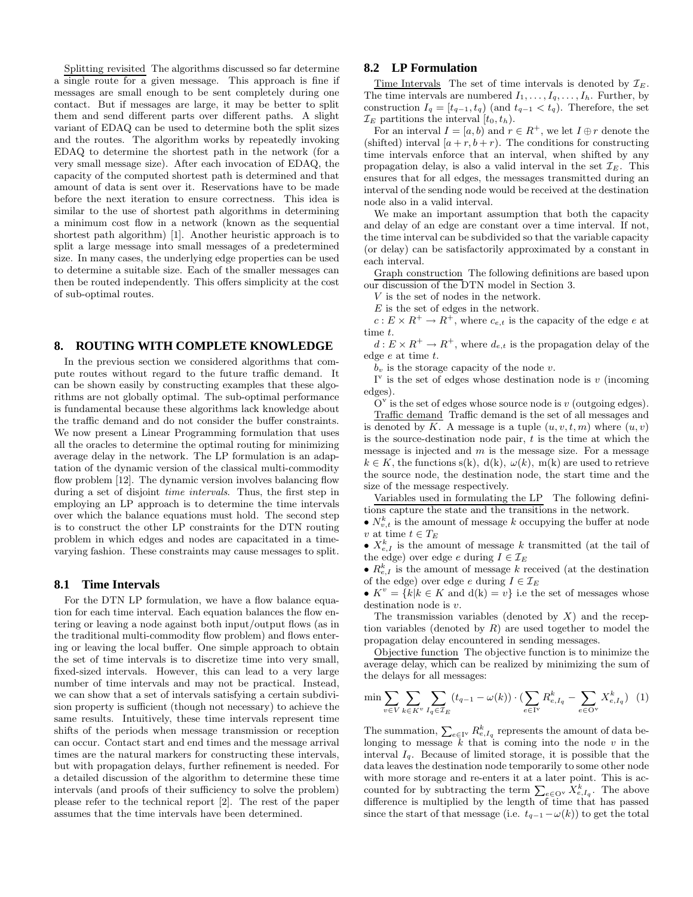Splitting revisited The algorithms discussed so far determine a single route for a given message. This approach is fine if messages are small enough to be sent completely during one contact. But if messages are large, it may be better to split them and send different parts over different paths. A slight variant of EDAQ can be used to determine both the split sizes and the routes. The algorithm works by repeatedly invoking EDAQ to determine the shortest path in the network (for a very small message size). After each invocation of EDAQ, the capacity of the computed shortest path is determined and that amount of data is sent over it. Reservations have to be made before the next iteration to ensure correctness. This idea is similar to the use of shortest path algorithms in determining a minimum cost flow in a network (known as the sequential shortest path algorithm) [1]. Another heuristic approach is to split a large message into small messages of a predetermined size. In many cases, the underlying edge properties can be used to determine a suitable size. Each of the smaller messages can then be routed independently. This offers simplicity at the cost of sub-optimal routes.

# **8. ROUTING WITH COMPLETE KNOWLEDGE**

In the previous section we considered algorithms that compute routes without regard to the future traffic demand. It can be shown easily by constructing examples that these algorithms are not globally optimal. The sub-optimal performance is fundamental because these algorithms lack knowledge about the traffic demand and do not consider the buffer constraints. We now present a Linear Programming formulation that uses all the oracles to determine the optimal routing for minimizing average delay in the network. The LP formulation is an adaptation of the dynamic version of the classical multi-commodity flow problem [12]. The dynamic version involves balancing flow during a set of disjoint time intervals. Thus, the first step in employing an LP approach is to determine the time intervals over which the balance equations must hold. The second step is to construct the other LP constraints for the DTN routing problem in which edges and nodes are capacitated in a timevarying fashion. These constraints may cause messages to split.

#### **8.1 Time Intervals**

For the DTN LP formulation, we have a flow balance equation for each time interval. Each equation balances the flow entering or leaving a node against both input/output flows (as in the traditional multi-commodity flow problem) and flows entering or leaving the local buffer. One simple approach to obtain the set of time intervals is to discretize time into very small, fixed-sized intervals. However, this can lead to a very large number of time intervals and may not be practical. Instead, we can show that a set of intervals satisfying a certain subdivision property is sufficient (though not necessary) to achieve the same results. Intuitively, these time intervals represent time shifts of the periods when message transmission or reception can occur. Contact start and end times and the message arrival times are the natural markers for constructing these intervals, but with propagation delays, further refinement is needed. For a detailed discussion of the algorithm to determine these time intervals (and proofs of their sufficiency to solve the problem) please refer to the technical report [2]. The rest of the paper assumes that the time intervals have been determined.

#### **8.2 LP Formulation**

Time Intervals The set of time intervals is denoted by  $\mathcal{I}_E$ . The time intervals are numbered  $I_1, \ldots, I_q, \ldots, I_h$ . Further, by construction  $I_q = [t_{q-1}, t_q)$  (and  $t_{q-1} < t_q$ ). Therefore, the set  $\mathcal{I}_E$  partitions the interval  $[t_0, t_h)$ .

For an interval  $I = [a, b)$  and  $r \in R^+$ , we let  $I \oplus r$  denote the (shifted) interval  $[a + r, b + r]$ . The conditions for constructing time intervals enforce that an interval, when shifted by any propagation delay, is also a valid interval in the set  $\mathcal{I}_E$ . This ensures that for all edges, the messages transmitted during an interval of the sending node would be received at the destination node also in a valid interval.

We make an important assumption that both the capacity and delay of an edge are constant over a time interval. If not, the time interval can be subdivided so that the variable capacity (or delay) can be satisfactorily approximated by a constant in each interval.

Graph construction The following definitions are based upon our discussion of the DTN model in Section 3.

V is the set of nodes in the network.

E is the set of edges in the network.

 $c: E \times R^+ \to R^+$ , where  $c_{e,t}$  is the capacity of the edge e at time t.

 $d: E \times R^+ \to R^+$ , where  $d_{e,t}$  is the propagation delay of the edge e at time t.

 $b_v$  is the storage capacity of the node v.

 $I<sup>v</sup>$  is the set of edges whose destination node is v (incoming edges).

 $\overline{O}^{\nu}$  is the set of edges whose source node is v (outgoing edges).

Traffic demand Traffic demand is the set of all messages and is denoted by K. A message is a tuple  $(u, v, t, m)$  where  $(u, v)$ is the source-destination node pair,  $t$  is the time at which the message is injected and  $m$  is the message size. For a message  $k \in K$ , the functions s(k), d(k),  $\omega(k)$ , m(k) are used to retrieve the source node, the destination node, the start time and the size of the message respectively.

Variables used in formulating the LP The following definitions capture the state and the transitions in the network.

•  $N_{v,t}^k$  is the amount of message k occupying the buffer at node v at time  $t \in T_E$ 

•  $X_{e,I}^k$  is the amount of message k transmitted (at the tail of the edge) over edge e during  $I \in \mathcal{I}_E$ 

•  $R_{e,I}^k$  is the amount of message k received (at the destination of the edge) over edge e during  $I \in \mathcal{I}_E$ 

•  $K^v = \{k | k \in K \text{ and } d(k) = v\}$  i.e the set of messages whose destination node is v.

The transmission variables (denoted by  $X$ ) and the reception variables (denoted by  $R$ ) are used together to model the propagation delay encountered in sending messages.

Objective function The objective function is to minimize the average delay, which can be realized by minimizing the sum of the delays for all messages:

$$
\min \sum_{v \in V} \sum_{k \in K^v} \sum_{I_q \in \mathcal{I}_E} (t_{q-1} - \omega(k)) \cdot (\sum_{e \in I^v} R_{e,I_q}^k - \sum_{e \in O^v} X_{e,I_q}^k) \tag{1}
$$

The summation,  $\sum_{e \in \mathcal{I}^{\vee}} R_{e,I_q}^k$  represents the amount of data belonging to message  $k$  that is coming into the node  $v$  in the interval  $I_q$ . Because of limited storage, it is possible that the data leaves the destination node temporarily to some other node with more storage and re-enters it at a later point. This is accounted for by subtracting the term  $\sum_{e \in \mathcal{O}^{\mathbf{v}}} X_{e, I_q}^k$ . The above difference is multiplied by the length of time that has passed since the start of that message (i.e.  $t_{q-1} - \omega(k)$ ) to get the total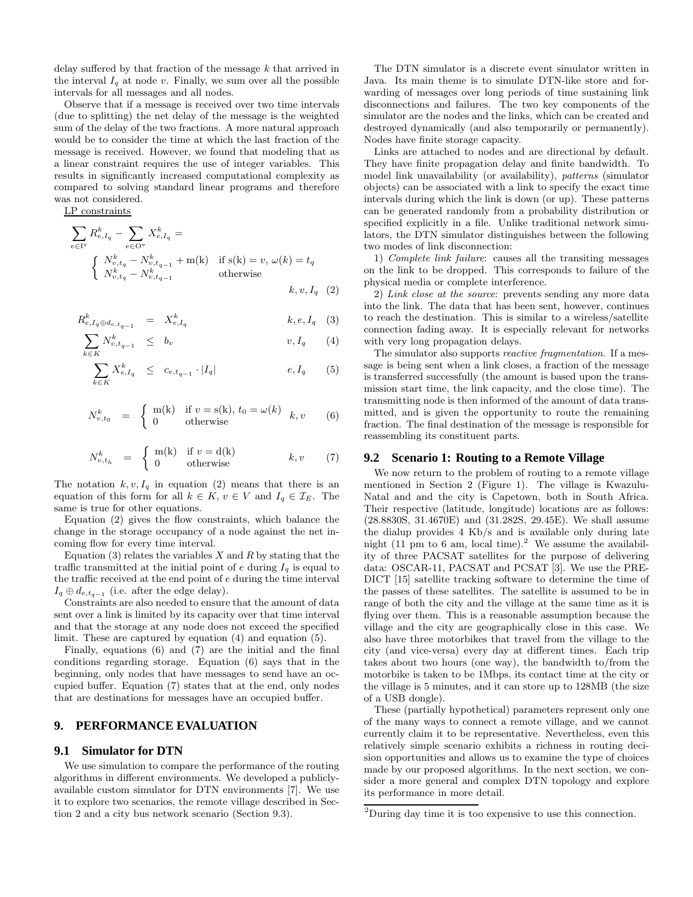delay suffered by that fraction of the message  $k$  that arrived in the interval  $I_q$  at node v. Finally, we sum over all the possible intervals for all messages and all nodes.

Observe that if a message is received over two time intervals (due to splitting) the net delay of the message is the weighted sum of the delay of the two fractions. A more natural approach would be to consider the time at which the last fraction of the message is received. However, we found that modeling that as a linear constraint requires the use of integer variables. This results in significantly increased computational complexity as compared to solving standard linear programs and therefore was not considered.

LP constraints

$$
\sum_{e \in \Gamma^v} R_{e, I_q}^k - \sum_{e \in \mathcal{O}^v} X_{e, I_q}^k =
$$
\n
$$
\begin{cases}\nN_{v, t_q}^k - N_{v, t_{q-1}}^k + m(k) & \text{if } s(k) = v, \omega(k) = t_q \\
N_{v, t_q}^k - N_{v, t_{q-1}}^k & \text{otherwise}\n\end{cases}
$$
\n $k, v, I_q$  (2)

$$
R_{e, I_q \oplus d_{e, t_{q-1}}}^{k} = X_{e, I_q}^{k} \qquad k, e, I_q \quad (3)
$$

$$
\sum_{k \in K} N_{v,t_{q-1}}^k \leq b_v \qquad \qquad v, I_q \qquad (4)
$$

$$
\sum_{k \in K} X_{e, I_q}^k \le c_{e, t_{q-1}} \cdot |I_q| \qquad e, I_q \qquad (5)
$$

$$
N_{v,t_0}^k = \begin{cases} m(k) & \text{if } v = s(k), t_0 = \omega(k) \\ 0 & \text{otherwise} \end{cases} k, v \qquad (6)
$$

$$
N_{v,t_h}^k = \begin{cases} m(k) & \text{if } v = d(k) \\ 0 & \text{otherwise} \end{cases} k, v \qquad (7)
$$

The notation  $k, v, I_q$  in equation (2) means that there is an equation of this form for all  $k \in K$ ,  $v \in V$  and  $I_q \in \mathcal{I}_E$ . The same is true for other equations.

Equation (2) gives the flow constraints, which balance the change in the storage occupancy of a node against the net incoming flow for every time interval.

Equation  $(3)$  relates the variables X and R by stating that the traffic transmitted at the initial point of e during  $I_q$  is equal to the traffic received at the end point of e during the time interval  $I_q \oplus d_{e,t_{q-1}}$  (i.e. after the edge delay).

Constraints are also needed to ensure that the amount of data sent over a link is limited by its capacity over that time interval and that the storage at any node does not exceed the specified limit. These are captured by equation (4) and equation (5).

Finally, equations (6) and (7) are the initial and the final conditions regarding storage. Equation (6) says that in the beginning, only nodes that have messages to send have an occupied buffer. Equation (7) states that at the end, only nodes that are destinations for messages have an occupied buffer.

## **9. PERFORMANCE EVALUATION**

#### **9.1 Simulator for DTN**

We use simulation to compare the performance of the routing algorithms in different environments. We developed a publiclyavailable custom simulator for DTN environments [7]. We use it to explore two scenarios, the remote village described in Section 2 and a city bus network scenario (Section 9.3).

The DTN simulator is a discrete event simulator written in Java. Its main theme is to simulate DTN-like store and forwarding of messages over long periods of time sustaining link disconnections and failures. The two key components of the simulator are the nodes and the links, which can be created and destroyed dynamically (and also temporarily or permanently). Nodes have finite storage capacity.

Links are attached to nodes and are directional by default. They have finite propagation delay and finite bandwidth. To model link unavailability (or availability), patterns (simulator objects) can be associated with a link to specify the exact time intervals during which the link is down (or up). These patterns can be generated randomly from a probability distribution or specified explicitly in a file. Unlike traditional network simulators, the DTN simulator distinguishes between the following two modes of link disconnection:

1) Complete link failure: causes all the transiting messages on the link to be dropped. This corresponds to failure of the physical media or complete interference.

2) Link close at the source: prevents sending any more data into the link. The data that has been sent, however, continues to reach the destination. This is similar to a wireless/satellite connection fading away. It is especially relevant for networks with very long propagation delays.

The simulator also supports reactive fragmentation. If a message is being sent when a link closes, a fraction of the message is transferred successfully (the amount is based upon the transmission start time, the link capacity, and the close time). The transmitting node is then informed of the amount of data transmitted, and is given the opportunity to route the remaining fraction. The final destination of the message is responsible for reassembling its constituent parts.

# **9.2 Scenario 1: Routing to a Remote Village**

We now return to the problem of routing to a remote village mentioned in Section 2 (Figure 1). The village is Kwazulu-Natal and and the city is Capetown, both in South Africa. Their respective (latitude, longitude) locations are as follows: (28.8830S, 31.4670E) and (31.282S, 29.45E). We shall assume the dialup provides 4 Kb/s and is available only during late night  $(11 \text{ pm to } 6 \text{ am}, \text{local time})$ .<sup>2</sup> We assume the availability of three PACSAT satellites for the purpose of delivering data: OSCAR-11, PACSAT and PCSAT [3]. We use the PRE-DICT [15] satellite tracking software to determine the time of the passes of these satellites. The satellite is assumed to be in range of both the city and the village at the same time as it is flying over them. This is a reasonable assumption because the village and the city are geographically close in this case. We also have three motorbikes that travel from the village to the city (and vice-versa) every day at different times. Each trip takes about two hours (one way), the bandwidth to/from the motorbike is taken to be 1Mbps, its contact time at the city or the village is 5 minutes, and it can store up to 128MB (the size of a USB dongle).

These (partially hypothetical) parameters represent only one of the many ways to connect a remote village, and we cannot currently claim it to be representative. Nevertheless, even this relatively simple scenario exhibits a richness in routing decision opportunities and allows us to examine the type of choices made by our proposed algorithms. In the next section, we consider a more general and complex DTN topology and explore its performance in more detail.

<sup>2</sup>During day time it is too expensive to use this connection.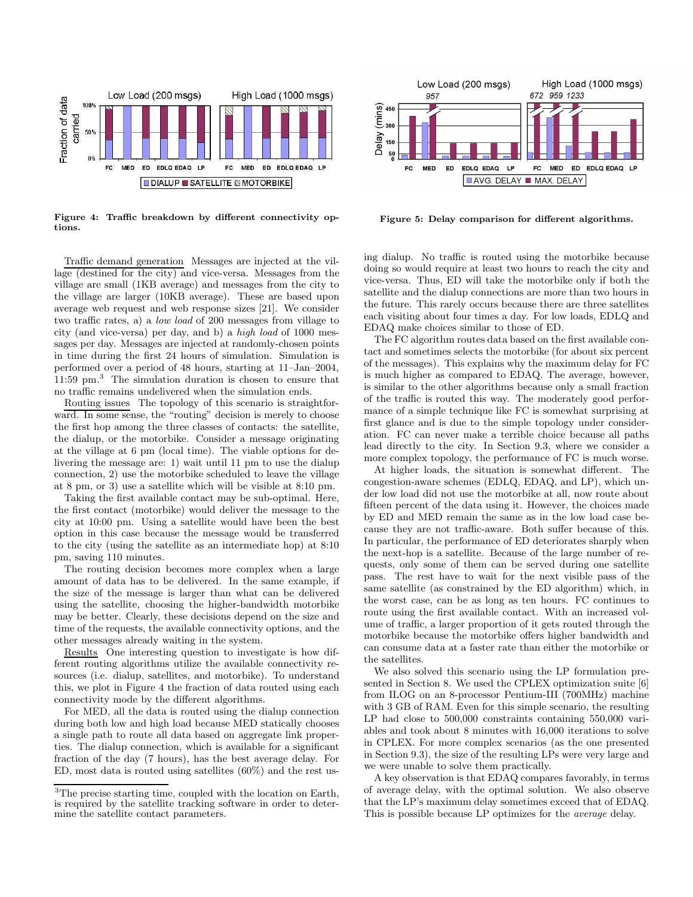

Figure 4: Traffic breakdown by different connectivity options.

Traffic demand generation Messages are injected at the village (destined for the city) and vice-versa. Messages from the village are small (1KB average) and messages from the city to the village are larger (10KB average). These are based upon average web request and web response sizes [21]. We consider two traffic rates, a) a low load of 200 messages from village to city (and vice-versa) per day, and b) a high load of 1000 messages per day. Messages are injected at randomly-chosen points in time during the first 24 hours of simulation. Simulation is performed over a period of 48 hours, starting at 11–Jan–2004, 11:59 pm.<sup>3</sup> The simulation duration is chosen to ensure that no traffic remains undelivered when the simulation ends.

Routing issues The topology of this scenario is straightforward. In some sense, the "routing" decision is merely to choose the first hop among the three classes of contacts: the satellite, the dialup, or the motorbike. Consider a message originating at the village at 6 pm (local time). The viable options for delivering the message are: 1) wait until 11 pm to use the dialup connection, 2) use the motorbike scheduled to leave the village at 8 pm, or 3) use a satellite which will be visible at 8:10 pm.

Taking the first available contact may be sub-optimal. Here, the first contact (motorbike) would deliver the message to the city at 10:00 pm. Using a satellite would have been the best option in this case because the message would be transferred to the city (using the satellite as an intermediate hop) at 8:10 pm, saving 110 minutes.

The routing decision becomes more complex when a large amount of data has to be delivered. In the same example, if the size of the message is larger than what can be delivered using the satellite, choosing the higher-bandwidth motorbike may be better. Clearly, these decisions depend on the size and time of the requests, the available connectivity options, and the other messages already waiting in the system.

Results One interesting question to investigate is how different routing algorithms utilize the available connectivity resources (i.e. dialup, satellites, and motorbike). To understand this, we plot in Figure 4 the fraction of data routed using each connectivity mode by the different algorithms.

For MED, all the data is routed using the dialup connection during both low and high load because MED statically chooses a single path to route all data based on aggregate link properties. The dialup connection, which is available for a significant fraction of the day (7 hours), has the best average delay. For ED, most data is routed using satellites (60%) and the rest us-



Figure 5: Delay comparison for different algorithms.

ing dialup. No traffic is routed using the motorbike because doing so would require at least two hours to reach the city and vice-versa. Thus, ED will take the motorbike only if both the satellite and the dialup connections are more than two hours in the future. This rarely occurs because there are three satellites each visiting about four times a day. For low loads, EDLQ and EDAQ make choices similar to those of ED.

The FC algorithm routes data based on the first available contact and sometimes selects the motorbike (for about six percent of the messages). This explains why the maximum delay for FC is much higher as compared to EDAQ. The average, however, is similar to the other algorithms because only a small fraction of the traffic is routed this way. The moderately good performance of a simple technique like FC is somewhat surprising at first glance and is due to the simple topology under consideration. FC can never make a terrible choice because all paths lead directly to the city. In Section 9.3, where we consider a more complex topology, the performance of FC is much worse.

At higher loads, the situation is somewhat different. The congestion-aware schemes (EDLQ, EDAQ, and LP), which under low load did not use the motorbike at all, now route about fifteen percent of the data using it. However, the choices made by ED and MED remain the same as in the low load case because they are not traffic-aware. Both suffer because of this. In particular, the performance of ED deteriorates sharply when the next-hop is a satellite. Because of the large number of requests, only some of them can be served during one satellite pass. The rest have to wait for the next visible pass of the same satellite (as constrained by the ED algorithm) which, in the worst case, can be as long as ten hours. FC continues to route using the first available contact. With an increased volume of traffic, a larger proportion of it gets routed through the motorbike because the motorbike offers higher bandwidth and can consume data at a faster rate than either the motorbike or the satellites.

We also solved this scenario using the LP formulation presented in Section 8. We used the CPLEX optimization suite [6] from ILOG on an 8-processor Pentium-III (700MHz) machine with 3 GB of RAM. Even for this simple scenario, the resulting LP had close to 500,000 constraints containing 550,000 variables and took about 8 minutes with 16,000 iterations to solve in CPLEX. For more complex scenarios (as the one presented in Section 9.3), the size of the resulting LPs were very large and we were unable to solve them practically.

A key observation is that EDAQ compares favorably, in terms of average delay, with the optimal solution. We also observe that the LP's maximum delay sometimes exceed that of EDAQ. This is possible because LP optimizes for the average delay.

<sup>&</sup>lt;sup>3</sup>The precise starting time, coupled with the location on Earth, is required by the satellite tracking software in order to determine the satellite contact parameters.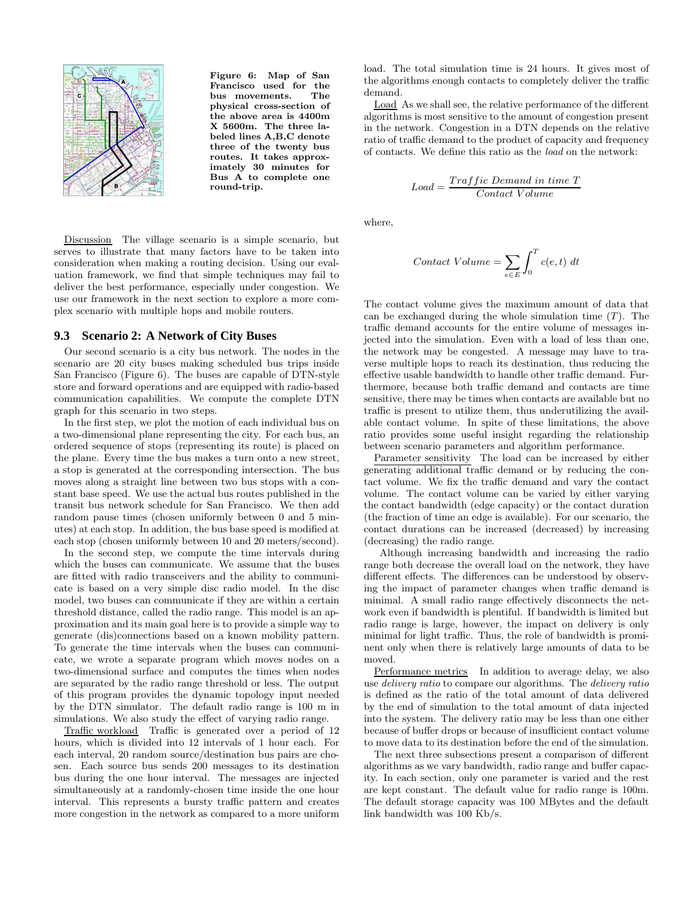

Figure 6: Map of San Francisco used for the bus movements. The physical cross-section of the above area is 4400m X 5600m. The three labeled lines A,B,C denote three of the twenty bus routes. It takes approximately 30 minutes for Bus A to complete one round-trip.

Discussion The village scenario is a simple scenario, but serves to illustrate that many factors have to be taken into consideration when making a routing decision. Using our evaluation framework, we find that simple techniques may fail to deliver the best performance, especially under congestion. We use our framework in the next section to explore a more complex scenario with multiple hops and mobile routers.

# **9.3 Scenario 2: A Network of City Buses**

Our second scenario is a city bus network. The nodes in the scenario are 20 city buses making scheduled bus trips inside San Francisco (Figure 6). The buses are capable of DTN-style store and forward operations and are equipped with radio-based communication capabilities. We compute the complete DTN graph for this scenario in two steps.

In the first step, we plot the motion of each individual bus on a two-dimensional plane representing the city. For each bus, an ordered sequence of stops (representing its route) is placed on the plane. Every time the bus makes a turn onto a new street, a stop is generated at the corresponding intersection. The bus moves along a straight line between two bus stops with a constant base speed. We use the actual bus routes published in the transit bus network schedule for San Francisco. We then add random pause times (chosen uniformly between 0 and 5 minutes) at each stop. In addition, the bus base speed is modified at each stop (chosen uniformly between 10 and 20 meters/second).

In the second step, we compute the time intervals during which the buses can communicate. We assume that the buses are fitted with radio transceivers and the ability to communicate is based on a very simple disc radio model. In the disc model, two buses can communicate if they are within a certain threshold distance, called the radio range. This model is an approximation and its main goal here is to provide a simple way to generate (dis)connections based on a known mobility pattern. To generate the time intervals when the buses can communicate, we wrote a separate program which moves nodes on a two-dimensional surface and computes the times when nodes are separated by the radio range threshold or less. The output of this program provides the dynamic topology input needed by the DTN simulator. The default radio range is 100 m in simulations. We also study the effect of varying radio range.

Traffic workload Traffic is generated over a period of 12 hours, which is divided into 12 intervals of 1 hour each. For each interval, 20 random source/destination bus pairs are chosen. Each source bus sends 200 messages to its destination bus during the one hour interval. The messages are injected simultaneously at a randomly-chosen time inside the one hour interval. This represents a bursty traffic pattern and creates more congestion in the network as compared to a more uniform load. The total simulation time is 24 hours. It gives most of the algorithms enough contacts to completely deliver the traffic demand.

Load As we shall see, the relative performance of the different algorithms is most sensitive to the amount of congestion present in the network. Congestion in a DTN depends on the relative ratio of traffic demand to the product of capacity and frequency of contacts. We define this ratio as the load on the network:

$$
Load = \frac{Traffic\ Demand\ in\ time\ T}{Context\ Volume}
$$

where,

$$
Context\ Volume = \sum_{e \in E} \int_0^T c(e, t) \ dt
$$

The contact volume gives the maximum amount of data that can be exchanged during the whole simulation time  $(T)$ . The traffic demand accounts for the entire volume of messages injected into the simulation. Even with a load of less than one, the network may be congested. A message may have to traverse multiple hops to reach its destination, thus reducing the effective usable bandwidth to handle other traffic demand. Furthermore, because both traffic demand and contacts are time sensitive, there may be times when contacts are available but no traffic is present to utilize them, thus underutilizing the available contact volume. In spite of these limitations, the above ratio provides some useful insight regarding the relationship between scenario parameters and algorithm performance.

Parameter sensitivity The load can be increased by either generating additional traffic demand or by reducing the contact volume. We fix the traffic demand and vary the contact volume. The contact volume can be varied by either varying the contact bandwidth (edge capacity) or the contact duration (the fraction of time an edge is available). For our scenario, the contact durations can be increased (decreased) by increasing (decreasing) the radio range.

Although increasing bandwidth and increasing the radio range both decrease the overall load on the network, they have different effects. The differences can be understood by observing the impact of parameter changes when traffic demand is minimal. A small radio range effectively disconnects the network even if bandwidth is plentiful. If bandwidth is limited but radio range is large, however, the impact on delivery is only minimal for light traffic. Thus, the role of bandwidth is prominent only when there is relatively large amounts of data to be moved.

Performance metrics In addition to average delay, we also use *delivery ratio* to compare our algorithms. The *delivery ratio* is defined as the ratio of the total amount of data delivered by the end of simulation to the total amount of data injected into the system. The delivery ratio may be less than one either because of buffer drops or because of insufficient contact volume to move data to its destination before the end of the simulation.

The next three subsections present a comparison of different algorithms as we vary bandwidth, radio range and buffer capacity. In each section, only one parameter is varied and the rest are kept constant. The default value for radio range is 100m. The default storage capacity was 100 MBytes and the default link bandwidth was 100 Kb/s.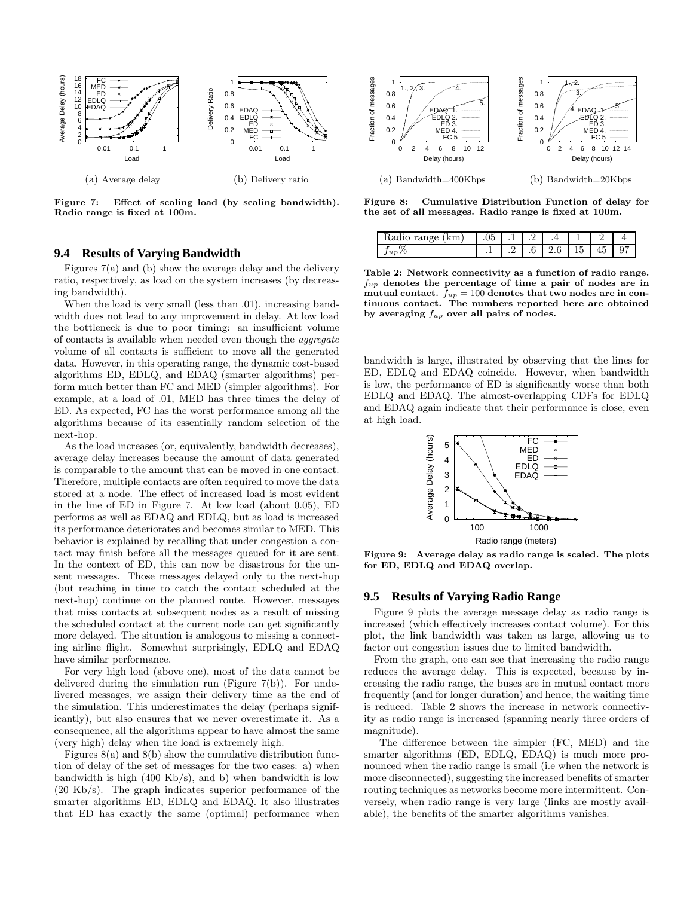

Figure 7: Effect of scaling load (by scaling bandwidth). Radio range is fixed at 100m.

#### **9.4 Results of Varying Bandwidth**

Figures 7(a) and (b) show the average delay and the delivery ratio, respectively, as load on the system increases (by decreasing bandwidth).

When the load is very small (less than .01), increasing bandwidth does not lead to any improvement in delay. At low load the bottleneck is due to poor timing: an insufficient volume of contacts is available when needed even though the aggregate volume of all contacts is sufficient to move all the generated data. However, in this operating range, the dynamic cost-based algorithms ED, EDLQ, and EDAQ (smarter algorithms) perform much better than FC and MED (simpler algorithms). For example, at a load of .01, MED has three times the delay of ED. As expected, FC has the worst performance among all the algorithms because of its essentially random selection of the next-hop.

As the load increases (or, equivalently, bandwidth decreases), average delay increases because the amount of data generated is comparable to the amount that can be moved in one contact. Therefore, multiple contacts are often required to move the data stored at a node. The effect of increased load is most evident in the line of ED in Figure 7. At low load (about 0.05), ED performs as well as EDAQ and EDLQ, but as load is increased its performance deteriorates and becomes similar to MED. This behavior is explained by recalling that under congestion a contact may finish before all the messages queued for it are sent. In the context of ED, this can now be disastrous for the unsent messages. Those messages delayed only to the next-hop (but reaching in time to catch the contact scheduled at the next-hop) continue on the planned route. However, messages that miss contacts at subsequent nodes as a result of missing the scheduled contact at the current node can get significantly more delayed. The situation is analogous to missing a connecting airline flight. Somewhat surprisingly, EDLQ and EDAQ have similar performance.

For very high load (above one), most of the data cannot be delivered during the simulation run (Figure 7(b)). For undelivered messages, we assign their delivery time as the end of the simulation. This underestimates the delay (perhaps significantly), but also ensures that we never overestimate it. As a consequence, all the algorithms appear to have almost the same (very high) delay when the load is extremely high.

Figures 8(a) and 8(b) show the cumulative distribution function of delay of the set of messages for the two cases: a) when bandwidth is high (400 Kb/s), and b) when bandwidth is low (20 Kb/s). The graph indicates superior performance of the smarter algorithms ED, EDLQ and EDAQ. It also illustrates that ED has exactly the same (optimal) performance when



Figure 8: Cumulative Distribution Function of delay for the set of all messages. Radio range is fixed at 100m.

| Radio range (km)   .05 |  |                                       |  |  |
|------------------------|--|---------------------------------------|--|--|
| Jup'                   |  | $.6 \mid 2.6 \mid 15 \mid 45 \mid 97$ |  |  |

Table 2: Network connectivity as a function of radio range.  $f_{up}$  denotes the percentage of time a pair of nodes are in mutual contact.  $f_{up} = 100$  denotes that two nodes are in continuous contact. The numbers reported here are obtained by averaging  $f_{up}$  over all pairs of nodes.

bandwidth is large, illustrated by observing that the lines for ED, EDLQ and EDAQ coincide. However, when bandwidth is low, the performance of ED is significantly worse than both EDLQ and EDAQ. The almost-overlapping CDFs for EDLQ and EDAQ again indicate that their performance is close, even at high load.



Figure 9: Average delay as radio range is scaled. The plots for ED, EDLQ and EDAQ overlap.

## **9.5 Results of Varying Radio Range**

Figure 9 plots the average message delay as radio range is increased (which effectively increases contact volume). For this plot, the link bandwidth was taken as large, allowing us to factor out congestion issues due to limited bandwidth.

From the graph, one can see that increasing the radio range reduces the average delay. This is expected, because by increasing the radio range, the buses are in mutual contact more frequently (and for longer duration) and hence, the waiting time is reduced. Table 2 shows the increase in network connectivity as radio range is increased (spanning nearly three orders of magnitude).

The difference between the simpler (FC, MED) and the smarter algorithms (ED, EDLQ, EDAQ) is much more pronounced when the radio range is small (i.e when the network is more disconnected), suggesting the increased benefits of smarter routing techniques as networks become more intermittent. Conversely, when radio range is very large (links are mostly available), the benefits of the smarter algorithms vanishes.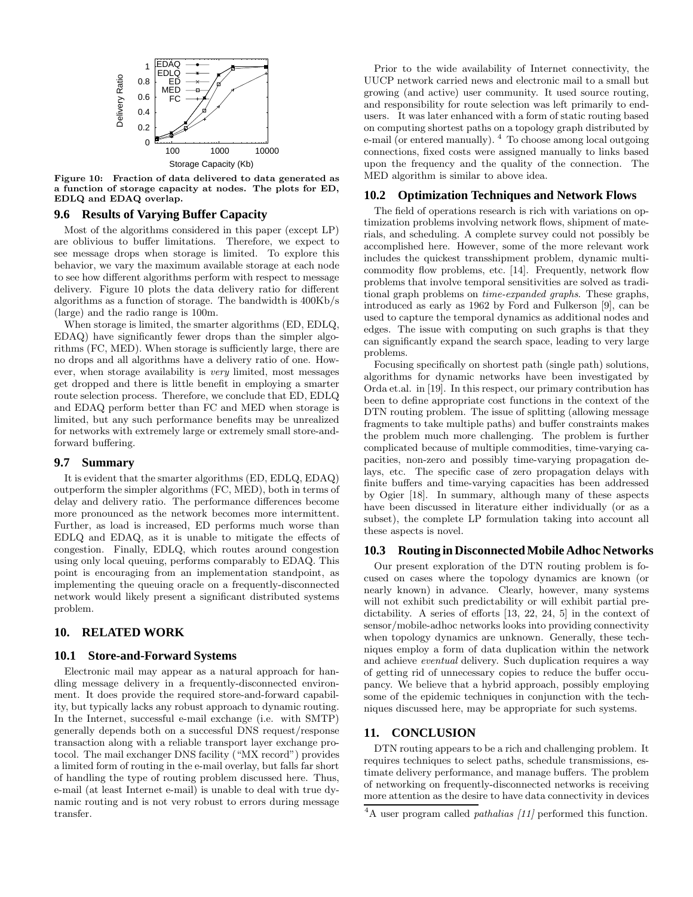

Figure 10: Fraction of data delivered to data generated as a function of storage capacity at nodes. The plots for ED, EDLQ and EDAQ overlap.

# **9.6 Results of Varying Buffer Capacity**

Most of the algorithms considered in this paper (except LP) are oblivious to buffer limitations. Therefore, we expect to see message drops when storage is limited. To explore this behavior, we vary the maximum available storage at each node to see how different algorithms perform with respect to message delivery. Figure 10 plots the data delivery ratio for different algorithms as a function of storage. The bandwidth is 400Kb/s (large) and the radio range is 100m.

When storage is limited, the smarter algorithms (ED, EDLQ, EDAQ) have significantly fewer drops than the simpler algorithms (FC, MED). When storage is sufficiently large, there are no drops and all algorithms have a delivery ratio of one. However, when storage availability is very limited, most messages get dropped and there is little benefit in employing a smarter route selection process. Therefore, we conclude that ED, EDLQ and EDAQ perform better than FC and MED when storage is limited, but any such performance benefits may be unrealized for networks with extremely large or extremely small store-andforward buffering.

#### **9.7 Summary**

It is evident that the smarter algorithms (ED, EDLQ, EDAQ) outperform the simpler algorithms (FC, MED), both in terms of delay and delivery ratio. The performance differences become more pronounced as the network becomes more intermittent. Further, as load is increased, ED performs much worse than EDLQ and EDAQ, as it is unable to mitigate the effects of congestion. Finally, EDLQ, which routes around congestion using only local queuing, performs comparably to EDAQ. This point is encouraging from an implementation standpoint, as implementing the queuing oracle on a frequently-disconnected network would likely present a significant distributed systems problem.

# **10. RELATED WORK**

#### **10.1 Store-and-Forward Systems**

Electronic mail may appear as a natural approach for handling message delivery in a frequently-disconnected environment. It does provide the required store-and-forward capability, but typically lacks any robust approach to dynamic routing. In the Internet, successful e-mail exchange (i.e. with SMTP) generally depends both on a successful DNS request/response transaction along with a reliable transport layer exchange protocol. The mail exchanger DNS facility ("MX record") provides a limited form of routing in the e-mail overlay, but falls far short of handling the type of routing problem discussed here. Thus, e-mail (at least Internet e-mail) is unable to deal with true dynamic routing and is not very robust to errors during message transfer.

Prior to the wide availability of Internet connectivity, the UUCP network carried news and electronic mail to a small but growing (and active) user community. It used source routing, and responsibility for route selection was left primarily to endusers. It was later enhanced with a form of static routing based on computing shortest paths on a topology graph distributed by e-mail (or entered manually).  $4$  To choose among local outgoing connections, fixed costs were assigned manually to links based upon the frequency and the quality of the connection. The MED algorithm is similar to above idea.

#### **10.2 Optimization Techniques and Network Flows**

The field of operations research is rich with variations on optimization problems involving network flows, shipment of materials, and scheduling. A complete survey could not possibly be accomplished here. However, some of the more relevant work includes the quickest transshipment problem, dynamic multicommodity flow problems, etc. [14]. Frequently, network flow problems that involve temporal sensitivities are solved as traditional graph problems on time-expanded graphs. These graphs, introduced as early as 1962 by Ford and Fulkerson [9], can be used to capture the temporal dynamics as additional nodes and edges. The issue with computing on such graphs is that they can significantly expand the search space, leading to very large problems.

Focusing specifically on shortest path (single path) solutions, algorithms for dynamic networks have been investigated by Orda et.al. in [19]. In this respect, our primary contribution has been to define appropriate cost functions in the context of the DTN routing problem. The issue of splitting (allowing message fragments to take multiple paths) and buffer constraints makes the problem much more challenging. The problem is further complicated because of multiple commodities, time-varying capacities, non-zero and possibly time-varying propagation delays, etc. The specific case of zero propagation delays with finite buffers and time-varying capacities has been addressed by Ogier [18]. In summary, although many of these aspects have been discussed in literature either individually (or as a subset), the complete LP formulation taking into account all these aspects is novel.

## **10.3 Routing in DisconnectedMobile Adhoc Networks**

Our present exploration of the DTN routing problem is focused on cases where the topology dynamics are known (or nearly known) in advance. Clearly, however, many systems will not exhibit such predictability or will exhibit partial predictability. A series of efforts [13, 22, 24, 5] in the context of sensor/mobile-adhoc networks looks into providing connectivity when topology dynamics are unknown. Generally, these techniques employ a form of data duplication within the network and achieve eventual delivery. Such duplication requires a way of getting rid of unnecessary copies to reduce the buffer occupancy. We believe that a hybrid approach, possibly employing some of the epidemic techniques in conjunction with the techniques discussed here, may be appropriate for such systems.

#### **11. CONCLUSION**

DTN routing appears to be a rich and challenging problem. It requires techniques to select paths, schedule transmissions, estimate delivery performance, and manage buffers. The problem of networking on frequently-disconnected networks is receiving more attention as the desire to have data connectivity in devices

 $^{4}$ A user program called *pathalias* [11] performed this function.